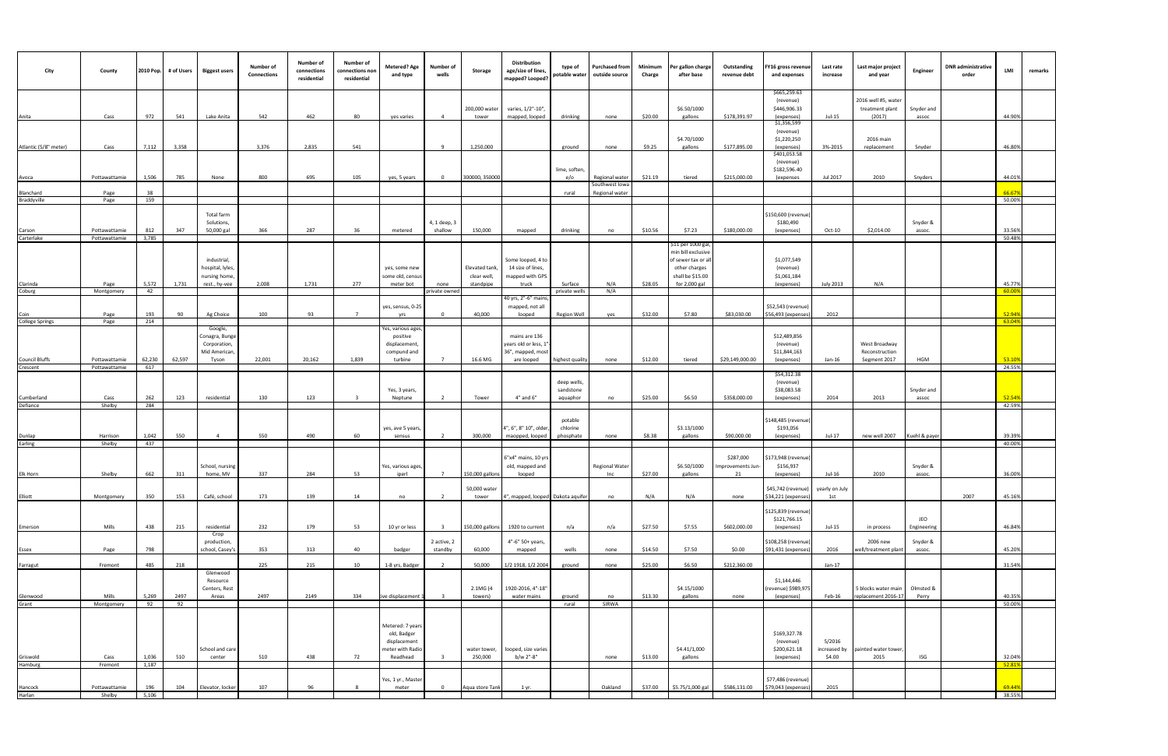| City                   | County                         | 2010 Pop.    | # of Users | <b>Biggest users</b>                                              | Number of<br><b>Connections</b> | Number of<br>connections<br>residential | Number of<br>connections non<br>residential | <b>Metered? Age</b><br>and type                                                 | Number of<br>wells               | Storage                                    | Distribution<br>age/size of lines,<br>mapped? Looped?                    | type of<br>potable water             | <b>Purchased from</b><br>outside source | Minimum<br>Charge | er gallon charge<br>after base                                                                                       | Outstanding<br>revenue debt    | FY16 gross revenue<br>and expenses                      | Last rate<br>increase            | Last major project<br>and year                   | Engineer            | <b>DNR</b> administrative<br>order | LMI              | remarks |
|------------------------|--------------------------------|--------------|------------|-------------------------------------------------------------------|---------------------------------|-----------------------------------------|---------------------------------------------|---------------------------------------------------------------------------------|----------------------------------|--------------------------------------------|--------------------------------------------------------------------------|--------------------------------------|-----------------------------------------|-------------------|----------------------------------------------------------------------------------------------------------------------|--------------------------------|---------------------------------------------------------|----------------------------------|--------------------------------------------------|---------------------|------------------------------------|------------------|---------|
| Anita                  | Cass                           | 972          | 541        | Lake Anita                                                        | 542                             | 462                                     | 80                                          | yes varies                                                                      | $\overline{4}$                   | 200,000 water<br>tower                     | varies, 1/2"-10",<br>mapped, looped                                      | drinking                             | none                                    | \$20.00           | \$6.50/1000<br>gallons                                                                                               | \$178,391.97                   | \$665,259.63<br>(revenue)<br>\$446,906.33<br>(expenses) | Jul-15                           | 2016 well #5, water<br>treatment plant<br>(2017) | Snyder and<br>assoc |                                    | 44.90%           |         |
| Atlantic (5/8" meter)  | Cass                           | 7,112        | 3,358      |                                                                   | 3,376                           | 2,835                                   | 541                                         |                                                                                 | $\mathbf{q}$                     | 1,250,000                                  |                                                                          | ground                               | none                                    | \$9.25            | \$4.70/1000<br>gallons                                                                                               | \$177,895.00                   | \$1,356,599<br>(revenue)<br>\$1,220,250<br>(expenses)   | 3%-2015                          | 2016 main<br>replacement                         | Snyder              |                                    | 46.80%           |         |
| Avoca                  | Pottawattamie                  | 1,506        | 785        | None                                                              | 800                             | 695                                     | 105                                         | yes, 5 years                                                                    | $\Omega$                         | 300000, 350000                             |                                                                          | lime, soften,<br>e/o                 | Regional water                          | \$21.19           | tiered                                                                                                               | \$215,000.00                   | \$401,053.58<br>(revenue)<br>\$182,596.40<br>(expenses  | Jul 2017                         | 2010                                             | Snyders             |                                    | 44.01%           |         |
| Blanchard              | Page                           | 38           |            |                                                                   |                                 |                                         |                                             |                                                                                 |                                  |                                            |                                                                          | rural                                | Southwest lowa<br>Regional water        |                   |                                                                                                                      |                                |                                                         |                                  |                                                  |                     |                                    | 66.679           |         |
| Braddyville            | Page                           | 159          |            | Total farm<br>Solutions,                                          |                                 |                                         |                                             |                                                                                 | 4, 1 deep, 3                     |                                            |                                                                          |                                      |                                         |                   |                                                                                                                      |                                | \$150,600 (revenue<br>\$180,490                         |                                  |                                                  | Snyder &            |                                    | 50.00%           |         |
| Carson<br>Carterlake   | Pottawattamie<br>Pottawattamie | 812<br>3,785 | 347        | 50,000 gal                                                        | 366                             | 287                                     | 36                                          | metered                                                                         | shallow                          | 150,000                                    | mapped                                                                   | drinking                             | no                                      | \$10.56           | \$7.23                                                                                                               | \$180,000.00                   | (expenses)                                              | $Oct-10$                         | \$2,014.00                                       | assoc.              |                                    | 33.56%<br>50.48% |         |
| Clarinda<br>Coburg     | Page<br>Montgomery             | 5,572<br>42  | 1,731      | industrial,<br>hospital, lyles,<br>nursing home,<br>rest., hy-vee | 2,008                           | 1,731                                   | 277                                         | yes, some new<br>some old, census<br>meter bot                                  | none<br>private owned            | Elevated tank,<br>clear well,<br>standpipe | Some looped, 4 to<br>14 size of lines,<br>mapped with GPS<br>truck       | Surface<br>private wells             | N/A<br>N/A                              | \$28.05           | \$11 per 1000 gal,<br>min bill exclusive<br>of sewer tax or al<br>other charges<br>shall be \$15.00<br>for 2,000 gal |                                | \$1,077,549<br>(revenue)<br>\$1,061,184<br>(expenses)   | July 2013                        | N/A                                              |                     |                                    | 45.77%<br>60.00  |         |
| Coin                   | Page                           | 193          | 90         | Ag Choice                                                         | 100                             | 93                                      | $\overline{7}$                              | yes, sensus, 0-25<br>yrs                                                        | $\Omega$                         | 40,000                                     | 40 yrs, 2"-6" mains<br>mapped, not all<br>looped                         | Region Well                          | yes                                     | \$32.00           | \$7.80                                                                                                               | \$83,030.00                    | \$52,543 (revenue)<br>\$56,493 (expenses)               | 2012                             |                                                  |                     |                                    | 52.94%           |         |
| <b>College Springs</b> | Page                           | 214          |            | Google,                                                           |                                 |                                         |                                             | es, various ages                                                                |                                  |                                            |                                                                          |                                      |                                         |                   |                                                                                                                      |                                |                                                         |                                  |                                                  |                     |                                    | 63.04            |         |
| <b>Council Bluffs</b>  | Pottawattamie                  | 62,230       | 62,597     | Conagra, Bunge<br>Corporation,<br>Mid American,<br>Tyson          | 22,001                          | 20,162                                  | 1,839                                       | positive<br>displacement,<br>compund and<br>turbine                             |                                  | 16.6 MG                                    | mains are 136<br>years old or less, 1<br>36", mapped, most<br>are looped | nighest quality                      | none                                    | \$12.00           | tiered                                                                                                               | \$29,149,000.00                | \$12,489,856<br>(revenue)<br>\$11,844,163<br>(expenses) | Jan-16                           | West Broadway<br>Reconstruction<br>Segment 2017  | HGM                 |                                    | 53.109           |         |
| Crescent               | Pottawattamie                  | 617          |            |                                                                   |                                 |                                         |                                             |                                                                                 |                                  |                                            |                                                                          |                                      |                                         |                   |                                                                                                                      |                                | \$54,312.38                                             |                                  |                                                  |                     |                                    | 24.55%           |         |
| Cumberland<br>Defiance | Cass<br>Shelby                 | 262<br>284   | 123        | residential                                                       | 130                             | 123                                     | $\mathbf{R}$                                | Yes, 3 years,<br>Neptune                                                        |                                  | Tower                                      | $4"$ and $6"$                                                            | deep wells,<br>sandstone<br>aquaphor | no                                      | \$25.00           | \$6.50                                                                                                               | \$358,000.00                   | (revenue)<br>\$38,083.58<br>(expenses)                  | 2014                             | 2013                                             | Snyder and<br>assoc |                                    | 52.549<br>42.59% |         |
| Dunlap<br>Earling      | Harrison                       | 1,042        | 550        | $\overline{4}$                                                    | 550                             | 490                                     | 60                                          | yes, ave 5 years,<br>sensus                                                     | $\overline{2}$                   | 300,000                                    | 4", 6", 8" 10", older,<br>maopped, looped                                | potable<br>chlorine<br>phosphate     | none                                    | \$8.38            | \$3.13/1000<br>gallons                                                                                               | \$90,000.00                    | \$148,485 (revenue<br>\$193,056<br>(expenses)           | Jul-17                           | new well 2007                                    | Kuehl & payer       |                                    | 39.39%           |         |
|                        | Shelby                         | 437          |            | School, nursing                                                   |                                 |                                         |                                             | Yes, various ages,                                                              |                                  |                                            | 6"x4" mains, 10 yrs<br>old, mapped and                                   |                                      | <b>Regional Water</b>                   |                   | \$6.50/1000                                                                                                          | \$287,000<br>Improvements Jun- | \$173,948 (revenue<br>\$156,937                         |                                  |                                                  | Snyder &            |                                    | 40.00%           |         |
| Elk Horn<br>Elliott    | Shelby<br>Montgomery           | 662<br>350   | 311<br>153 | home, MV<br>Café, school                                          | 337<br>173                      | 284<br>139                              | 53<br>14                                    | iperl<br>no                                                                     | $\overline{7}$<br>$\overline{2}$ | 150,000 gallons<br>50,000 water<br>tower   | looped<br>4", mapped, looped Dakota aquifer                              |                                      | Inc<br>no                               | \$27.00<br>N/A    | gallons<br>N/A                                                                                                       | 21<br>none                     | (expenses)<br>\$45,742 (revenue)<br>\$34,221 (expenses  | Jul-16<br>yearly on July<br>1st  | 2010                                             | assoc.              | 2007                               | 36.00%<br>45.16% |         |
| Emerson                | Mills                          | 438          | 215        | residential                                                       | 232                             | 179                                     | 53                                          | 10 yr or less                                                                   |                                  | 150,000 gallons                            | 1920 to current                                                          | n/a                                  | n/a                                     | \$27.50           | \$7.55                                                                                                               | \$602,000.00                   | \$125,839 (revenue<br>\$121,766.15<br>(expenses)        | Jul-15                           | in process                                       | JEO<br>Engineering  |                                    | 46.84%           |         |
| Essex                  | Page                           | 798          |            | Crop<br>production,<br>school, Casey's                            | 353                             | 313                                     | 40                                          | badger                                                                          | 2 active, 2<br>standby           | 60,000                                     | 4"-6" 50+ years,<br>mapped                                               | wells                                | none                                    | \$14.50           | \$7.50                                                                                                               | \$0.00                         | \$108,258 (revenue)<br>\$91,431 (expenses               | 2016                             | 2006 new<br>vell/treatment plant                 | Snyder &<br>assoc.  |                                    | 45.209           |         |
| Farragut               | Fremont                        | 485          | 218        |                                                                   | 225                             | 215                                     | 10                                          | 1-8 yrs, Badger                                                                 | $\overline{2}$                   | 50,000                                     | 1/2 1918, 1/2 2004                                                       | ground                               | none                                    | \$25.00           | \$6.50                                                                                                               | \$212,360.00                   |                                                         | Jan-17                           |                                                  |                     |                                    | 31.54%           |         |
| Glenwood<br>Grant      | Mills<br>Montgomery            | 5,269<br>92  | 2497<br>92 | Glenwood<br>Resource<br>Centers, Rest<br>Areas                    | 2497                            | 2149                                    | 334                                         | ive displacement 1                                                              |                                  | 2.1MG (4<br>towers)                        | 1920-2016, 4"-18"<br>water mains                                         | ground<br>rural                      | no<br>SIRWA                             | \$13.30           | \$4.15/1000<br>gallons                                                                                               | none                           | \$1,144,446<br>(revenue) \$989,975<br>(expenses)        | Feb-16                           | 5 blocks water main<br>replacement 2016-17       | Olmsted &<br>Perry  |                                    | 40.35%<br>50.00% |         |
|                        | Cass                           | 1,036        | 510        | School and care<br>center                                         | 510                             | 438                                     | 72                                          | Metered: 7 years<br>old, Badger<br>displacement<br>neter with Radio<br>Readhead |                                  | water tower,<br>250,000                    | looped, size varies<br>b/w 2"-8"                                         |                                      | none                                    | \$13.00           | \$4.41/1,000<br>gallons                                                                                              |                                | \$169,327.78<br>(revenue)<br>\$200,621.18<br>(expenses) | 5/2016<br>increased by<br>\$4.00 | painted water tower,<br>2015                     | ISG                 |                                    | 32.04%           |         |
| Griswold<br>Hamburg    | Fremont                        | 1,187        |            |                                                                   |                                 |                                         |                                             |                                                                                 |                                  |                                            |                                                                          |                                      |                                         |                   |                                                                                                                      |                                |                                                         |                                  |                                                  |                     |                                    | 52.819           |         |
| Hancock<br>Harlan      | Pottawattamie<br>Shelby        | 196<br>5,106 | 104        | Elevator, locker                                                  | 107                             | 96                                      |                                             | Yes, 1 yr., Master<br>meter                                                     | 0                                | Aqua store Tank                            | 1 yr.                                                                    |                                      | Oakland                                 | \$37.00           | \$5.75/1,000 gal                                                                                                     | \$586,131.00                   | \$77,486 (revenue)<br>\$79,043 (expenses                | 2015                             |                                                  |                     |                                    | 69.44%<br>38.55% |         |
|                        |                                |              |            |                                                                   |                                 |                                         |                                             |                                                                                 |                                  |                                            |                                                                          |                                      |                                         |                   |                                                                                                                      |                                |                                                         |                                  |                                                  |                     |                                    |                  |         |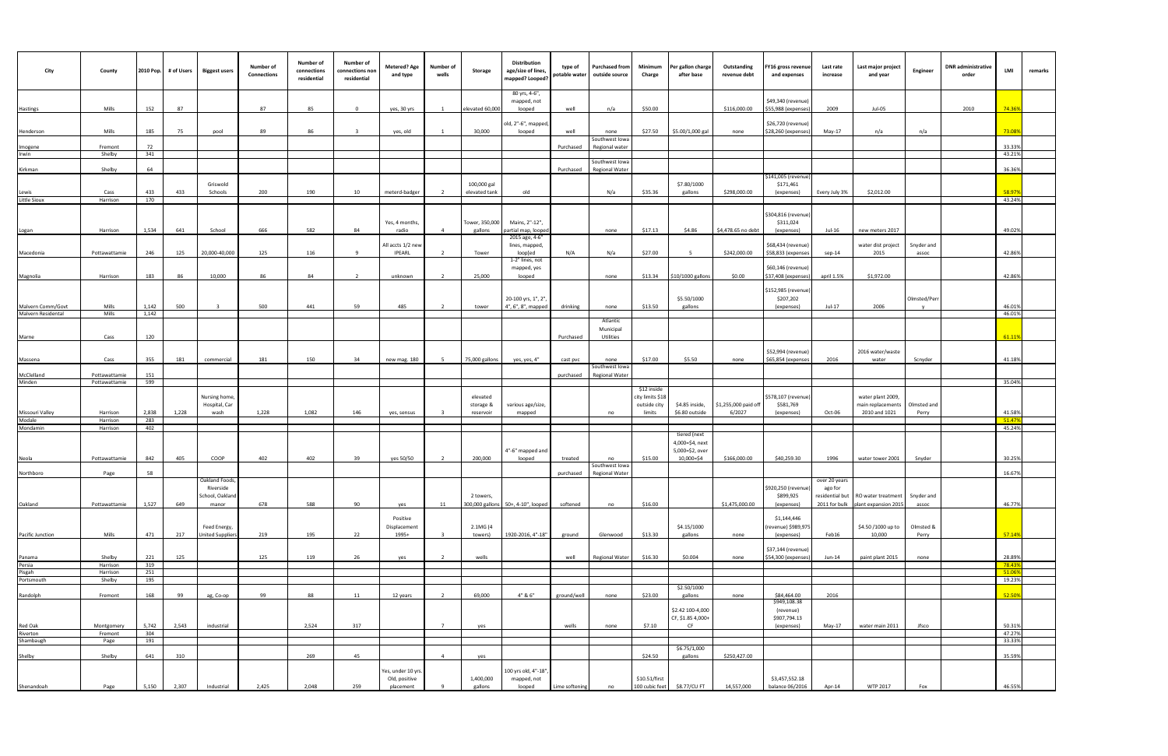| City                                     | County                | 2010 Pop.      | # of Users | <b>Biggest users</b>       | Number of<br><b>Connections</b> | Number of<br>connections<br>residential | Number of<br>connections non<br>residential | <b>Metered? Age</b><br>and type | Number of<br>wells | Storage                   | Distribution<br>age/size of lines,<br>mapped? Looped? | type of<br>potable water | <b>Purchased from</b><br>outside source | Minimum<br>Charge               | er gallon charge<br>after base   | Outstanding<br>revenue debt    | "Y16 gross revenue<br>and expenses        | Last rate<br>increase | Last major project<br>and year       | Engineer             | <b>DNR</b> administrative<br>order | LMI              | remarks |
|------------------------------------------|-----------------------|----------------|------------|----------------------------|---------------------------------|-----------------------------------------|---------------------------------------------|---------------------------------|--------------------|---------------------------|-------------------------------------------------------|--------------------------|-----------------------------------------|---------------------------------|----------------------------------|--------------------------------|-------------------------------------------|-----------------------|--------------------------------------|----------------------|------------------------------------|------------------|---------|
| Hastings                                 | Mills                 | 152            | 87         |                            | 87                              | 85                                      | $\Omega$                                    | yes, 30 yrs                     |                    | elevated 60,000           | 80 yrs, 4-6",<br>mapped, not<br>looped                | well                     | n/a                                     | \$50.00                         |                                  | \$116,000.00                   | \$49,340 (revenue)<br>\$55,988 (expenses) | 2009                  | Jul-05                               |                      | 2010                               | 74.369           |         |
|                                          |                       |                |            |                            |                                 |                                         |                                             |                                 |                    |                           | old, 2"-6", mapped,                                   |                          |                                         |                                 |                                  |                                | \$26,720 (revenue)                        |                       |                                      |                      |                                    | 73.089           |         |
| Henderson                                | Mills                 | 185            | 75         | pool                       | 89                              | 86                                      | $\overline{\mathbf{3}}$                     | yes, old                        |                    | 30,000                    | looped                                                | well                     | none<br>Southwest Iowa                  | \$27.50                         | \$5.00/1,000 gal                 | none                           | \$28,260 (expenses)                       | May-17                | n/a                                  | n/a                  |                                    |                  |         |
| Imogene<br>Irwin                         | Fremont<br>Shelby     | 72<br>341      |            |                            |                                 |                                         |                                             |                                 |                    |                           |                                                       | Purchased                | Regional water                          |                                 |                                  |                                |                                           |                       |                                      |                      |                                    | 33.33%<br>43.21% |         |
| Kirkman                                  | Shelby                | 64             |            |                            |                                 |                                         |                                             |                                 |                    |                           |                                                       | Purchased                | Southwest Iowa<br><b>Regional Water</b> |                                 |                                  |                                |                                           |                       |                                      |                      |                                    | 36.369           |         |
|                                          |                       |                |            | Griswold                   |                                 |                                         |                                             |                                 |                    | 100,000 gal               |                                                       |                          |                                         |                                 | \$7.80/1000                      |                                | \$141,005 (revenue<br>\$171,461           |                       |                                      |                      |                                    |                  |         |
| Lewis<br>Little Sioux                    | Cass<br>Harrison      | 433<br>170     | 433        | Schools                    | 200                             | 190                                     | 10                                          | meterd-badger                   |                    | elevated tank             | old                                                   |                          | N/a                                     | \$35.36                         | gallons                          | \$298,000.00                   | (expenses)                                | Every July 3%         | \$2,012.00                           |                      |                                    | 58.97<br>43.24%  |         |
|                                          |                       |                |            |                            |                                 |                                         |                                             |                                 |                    |                           |                                                       |                          |                                         |                                 |                                  |                                | \$304,816 (revenue                        |                       |                                      |                      |                                    |                  |         |
|                                          | Harrison              | 1,534          | 641        | School                     | 666                             | 582                                     | 84                                          | Yes, 4 months,<br>radio         | $\overline{4}$     | Fower, 350,000<br>gallons | Mains, 2"-12",<br>artial map, loope                   |                          | none                                    | \$17.13                         | \$4.86                           | \$4,478.65 no debt             | \$311,024<br>(expenses)                   | Jul-16                | new meters 2017                      |                      |                                    | 49.02%           |         |
| Logan                                    |                       |                |            |                            |                                 |                                         |                                             | All accts 1/2 new               |                    |                           | 2015 age, 4-6"<br>lines, mapped,                      |                          |                                         |                                 |                                  |                                | \$68,434 (revenue)                        |                       | water dist project                   | Snyder and           |                                    |                  |         |
| Macedonia                                | Pottawattamie         | 246            | 125        | 20,000-40,000              | 125                             | 116                                     | $\mathbf{q}$                                | <b>IPEARL</b>                   | $\overline{2}$     | Tower                     | loop[ed                                               | N/A                      | N/a                                     | \$27.00                         | 5                                | \$242,000.00                   | \$58,833 (expenses                        | sep-14                | 2015                                 | assoc                |                                    | 42.869           |         |
|                                          |                       |                |            |                            |                                 |                                         |                                             |                                 |                    |                           | 1-2" lines, not<br>mapped, yes                        |                          |                                         |                                 |                                  |                                | \$60,146 (revenue)                        |                       |                                      |                      |                                    |                  |         |
| Magnolia                                 | Harrison              | 183            | 86         | 10,000                     | 86                              | 84                                      | $\overline{2}$                              | unknown                         | $\overline{2}$     | 25,000                    | looped                                                |                          | none                                    | \$13.34                         | \$10/1000 gallons                | \$0.00                         | \$37,408 (expenses)                       | april 1.5%            | \$1,972.00                           |                      |                                    | 42.86%           |         |
|                                          |                       |                |            |                            |                                 |                                         |                                             |                                 |                    |                           | 20-100 yrs, 1", 2"                                    |                          |                                         |                                 | \$5.50/1000                      |                                | \$152,985 (revenue)<br>\$207,202          |                       |                                      | Olmsted/Perr         |                                    |                  |         |
| Malvern Comm/Govt<br>Malvern Residental  | Mills<br>Mills        | 1,142<br>1,142 | 500        | $\overline{\mathbf{3}}$    | 500                             | 441                                     | 59                                          | 485                             |                    | tower                     | 4", 6", 8", mapped                                    | drinking                 | none                                    | \$13.50                         | gallons                          |                                | (expenses)                                | Jul-17                | 2006                                 | $\mathsf{v}$         |                                    | 46.019<br>46.019 |         |
|                                          |                       |                |            |                            |                                 |                                         |                                             |                                 |                    |                           |                                                       |                          | Atlantic<br>Municipal                   |                                 |                                  |                                |                                           |                       |                                      |                      |                                    |                  |         |
| Marne                                    | Cass                  | 120            |            |                            |                                 |                                         |                                             |                                 |                    |                           |                                                       | Purchased                | Utilities                               |                                 |                                  |                                |                                           |                       |                                      |                      |                                    | 61.119           |         |
| Massena                                  | Cass                  | 355            | 181        | commercial                 | 181                             | 150                                     | 34                                          | new mag. 180                    |                    | 75,000 gallons            | yes, yes, 4"                                          | cast pvc                 | none                                    | \$17.00                         | \$5.50                           | none                           | \$52,994 (revenue)<br>\$65,854 (expenses  | 2016                  | 2016 water/waste<br>water            | Scnyder              |                                    | 41.18%           |         |
| McClelland                               | Pottawattamie         | 151            |            |                            |                                 |                                         |                                             |                                 |                    |                           |                                                       | purchased                | Southwest Iowa<br>Regional Water        |                                 |                                  |                                |                                           |                       |                                      |                      |                                    |                  |         |
| Minden                                   | Pottawattamie         | 599            |            |                            |                                 |                                         |                                             |                                 |                    |                           |                                                       |                          |                                         |                                 |                                  |                                |                                           |                       |                                      |                      |                                    | 35.04%           |         |
|                                          |                       |                |            | Nursing home,              |                                 |                                         |                                             |                                 |                    | elevated                  |                                                       |                          |                                         | \$12 inside<br>city limits \$18 |                                  |                                | \$578,107 (revenue)                       |                       | water plant 2009,                    |                      |                                    |                  |         |
| Missouri Valley                          | Harrison              | 2,838          | 1,228      | Hospital, Car<br>wash      | 1,228                           | 1,082                                   | 146                                         | yes, sensus                     |                    | storage &<br>reservoir    | various age/size,<br>mapped                           |                          | no                                      | outside city<br>limits          | \$4.85 inside,<br>\$6.80 outside | \$1,255,000 paid off<br>6/2027 | \$581,769<br>(expenses)                   | Oct-06                | main replacements<br>2010 and 1021   | Olmsted and<br>Perry |                                    | 41.589           |         |
| Modale<br>Mondamin                       | Harrison<br>Harrison  | 283<br>402     |            |                            |                                 |                                         |                                             |                                 |                    |                           |                                                       |                          |                                         |                                 |                                  |                                |                                           |                       |                                      |                      |                                    | 51.47<br>45.24%  |         |
|                                          |                       |                |            |                            |                                 |                                         |                                             |                                 |                    |                           |                                                       |                          |                                         |                                 | tiered (next<br>4,000=\$4, next  |                                |                                           |                       |                                      |                      |                                    |                  |         |
|                                          | Pottawattamie         | 842            | 405        | COOP                       | 402                             | 402                                     | 39                                          | yes 50/50                       | 2                  | 200,000                   | 4"-6" mapped and<br>looped                            | treated                  | no                                      | \$15.00                         | 5,000=\$2, over<br>10,000=\$4    | \$166,000.00                   | \$40,259.30                               | 1996                  | water tower 2001                     | Snyder               |                                    | 30.25%           |         |
| Neola                                    | Page                  | 58             |            |                            |                                 |                                         |                                             |                                 |                    |                           |                                                       | purchased                | Southwest Iowa<br><b>Regional Water</b> |                                 |                                  |                                |                                           |                       |                                      |                      |                                    | 16.67%           |         |
| Northboro                                |                       |                |            | Oakiand Foods<br>Riverside |                                 |                                         |                                             |                                 |                    |                           |                                                       |                          |                                         |                                 |                                  |                                | \$920,250 (revenue)                       | over zu years         |                                      |                      |                                    |                  |         |
|                                          |                       |                |            | School, Oakland            |                                 |                                         |                                             |                                 |                    | 2 towers,                 |                                                       |                          |                                         |                                 |                                  |                                | \$899,925                                 | ago for               | residential but   RO water treatment | Snyder and           |                                    |                  |         |
| Oakland                                  | Pottawattamie         | 1,527          | 649        | manor                      | 678                             | 588                                     | 90                                          | yes                             | 11                 |                           | 300,000 gallons 50+, 4-10", looped                    | softened                 | no                                      | \$16.00                         |                                  | \$1,475,000.00                 | (expenses)                                |                       | 2011 for bulk plant expansion 2015   | assoc                |                                    | 46.77%           |         |
|                                          |                       |                |            | Feed Energy,               |                                 |                                         |                                             | Positive<br>Displacement        |                    | 2.1MG (4                  |                                                       |                          |                                         |                                 | \$4.15/1000                      |                                | \$1,144,446<br>(revenue) \$989,97!        |                       | \$4.50 /1000 up to                   | Olmsted &            |                                    |                  |         |
| Pacific Junction                         | Mills                 | 471            | 217        | <b>United Suppliers</b>    | 219                             | 195                                     | 22                                          | 1995+                           |                    | towers)                   | 1920-2016, 4"-18"                                     | ground                   | Glenwood                                | \$13.30                         | gallons                          | none                           | (expenses)                                | Feb16                 | 10,000                               | Perry                |                                    | 57.14%           |         |
|                                          | Shelby                | 221            | 125        |                            | 125                             | 119                                     | 26                                          | yes                             | $\overline{2}$     | wells                     |                                                       | well                     | Regional Water                          | \$16.30                         | \$0.004                          | none                           | \$37,144 (revenue)<br>\$54,300 (expenses) | Jun-14                | paint plant 2015                     | none                 |                                    | 28.89%           |         |
| Panama<br>Persia<br>Pisgah<br>Portsmouth | Harrison              | 319            |            |                            |                                 |                                         |                                             |                                 |                    |                           |                                                       |                          |                                         |                                 |                                  |                                |                                           |                       |                                      |                      |                                    | 78.439           |         |
|                                          | Harrison<br>Shelby    | 251<br>195     |            |                            |                                 |                                         |                                             |                                 |                    |                           |                                                       |                          |                                         |                                 |                                  |                                |                                           |                       |                                      |                      |                                    | 51.06<br>19.23%  |         |
|                                          | Fremont               | 168            | 99         | ag, Co-op                  | 99                              | 88                                      | 11                                          | 12 years                        | $\overline{2}$     | 69,000                    | 4" & 6"                                               | ground/well              | none                                    | \$23.00                         | \$2.50/1000<br>gallons           | none                           | \$84,464.00                               | 2016                  |                                      |                      |                                    | 52.50%           |         |
| Randolph                                 |                       |                |            |                            |                                 |                                         |                                             |                                 |                    |                           |                                                       |                          |                                         |                                 | \$2.42 100-4,000                 |                                | \$949,108.38<br>(revenue)                 |                       |                                      |                      |                                    |                  |         |
|                                          |                       |                |            |                            |                                 |                                         |                                             |                                 |                    |                           |                                                       |                          |                                         |                                 | CF, \$1.85 4,000+                |                                | \$907,794.13                              |                       |                                      |                      |                                    |                  |         |
|                                          | Montgomery<br>Fremont | 5,742<br>304   | 2,543      | industrial                 |                                 | 2,524                                   | 317                                         |                                 | $\overline{7}$     | yes                       |                                                       | wells                    | none                                    | \$7.10                          | CF                               |                                | (expenses)                                | May-17                | water main 2011                      | Jfsco                |                                    | 50.31%<br>47.27% |         |
| Red Oak<br>Riverton<br>Shambaugh         | Page                  | 191            |            |                            |                                 |                                         |                                             |                                 |                    |                           |                                                       |                          |                                         |                                 |                                  |                                |                                           |                       |                                      |                      |                                    | 33.33%           |         |
| Shelby                                   | Shelby                | 641            | 310        |                            |                                 | 269                                     | 45                                          |                                 | $\overline{4}$     | yes                       |                                                       |                          |                                         | \$24.50                         | \$6.75/1,000<br>gallons          | \$250,427.00                   |                                           |                       |                                      |                      |                                    | 35.59%           |         |
|                                          |                       |                |            |                            |                                 |                                         |                                             | Yes, under 10 yrs.              |                    |                           | 100 yrs old, 4"-18"                                   |                          |                                         |                                 |                                  |                                |                                           |                       |                                      |                      |                                    |                  |         |
| Shenandoah                               | Page                  | 5,150          | 2,307      | Industrial                 | 2,425                           | 2,048                                   | 259                                         | Old, positive<br>placement      |                    | 1,400,000<br>gallons      | mapped, not<br>looped                                 | Lime softening           | no                                      | \$10.51/first<br>100 cubic feet | \$8.77/CU FT                     | 14,557,000                     | \$3,457,552.18<br>balance 06/2016         | Apr-14                | WTP 2017                             | Fox                  |                                    | 46.55%           |         |
|                                          |                       |                |            |                            |                                 |                                         |                                             |                                 |                    |                           |                                                       |                          |                                         |                                 |                                  |                                |                                           |                       |                                      |                      |                                    |                  |         |